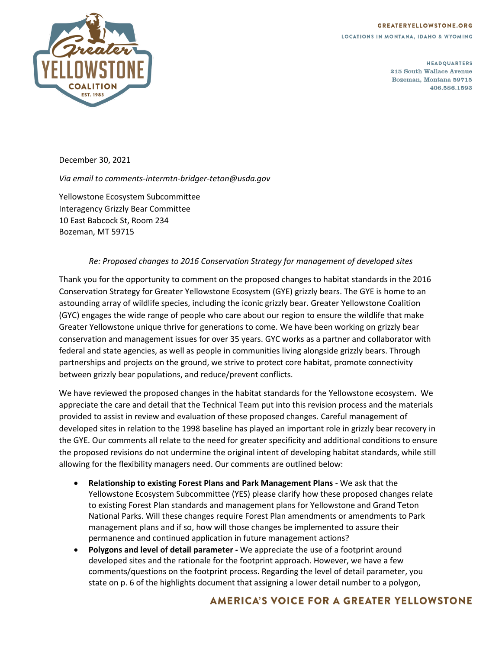## **GREATERYELLOWSTONE.ORG**

LOCATIONS IN MONTANA, IDAHO & WYOMING



**HEADQUARTERS** 215 South Wallace Avenue Bozeman, Montana 59715 406.586.1593

December 30, 2021

*Via email to comments-intermtn-bridger-teton@usda.gov*

Yellowstone Ecosystem Subcommittee Interagency Grizzly Bear Committee 10 East Babcock St, Room 234 Bozeman, MT 59715

## *Re: Proposed changes to 2016 Conservation Strategy for management of developed sites*

Thank you for the opportunity to comment on the proposed changes to habitat standards in the 2016 Conservation Strategy for Greater Yellowstone Ecosystem (GYE) grizzly bears. The GYE is home to an astounding array of wildlife species, including the iconic grizzly bear. Greater Yellowstone Coalition (GYC) engages the wide range of people who care about our region to ensure the wildlife that make Greater Yellowstone unique thrive for generations to come. We have been working on grizzly bear conservation and management issues for over 35 years. GYC works as a partner and collaborator with federal and state agencies, as well as people in communities living alongside grizzly bears. Through partnerships and projects on the ground, we strive to protect core habitat, promote connectivity between grizzly bear populations, and reduce/prevent conflicts.

We have reviewed the proposed changes in the habitat standards for the Yellowstone ecosystem. We appreciate the care and detail that the Technical Team put into this revision process and the materials provided to assist in review and evaluation of these proposed changes. Careful management of developed sites in relation to the 1998 baseline has played an important role in grizzly bear recovery in the GYE. Our comments all relate to the need for greater specificity and additional conditions to ensure the proposed revisions do not undermine the original intent of developing habitat standards, while still allowing for the flexibility managers need. Our comments are outlined below:

- **Relationship to existing Forest Plans and Park Management Plans** We ask that the Yellowstone Ecosystem Subcommittee (YES) please clarify how these proposed changes relate to existing Forest Plan standards and management plans for Yellowstone and Grand Teton National Parks. Will these changes require Forest Plan amendments or amendments to Park management plans and if so, how will those changes be implemented to assure their permanence and continued application in future management actions?
- **Polygons and level of detail parameter -** We appreciate the use of a footprint around developed sites and the rationale for the footprint approach. However, we have a few comments/questions on the footprint process. Regarding the level of detail parameter, you state on p. 6 of the highlights document that assigning a lower detail number to a polygon,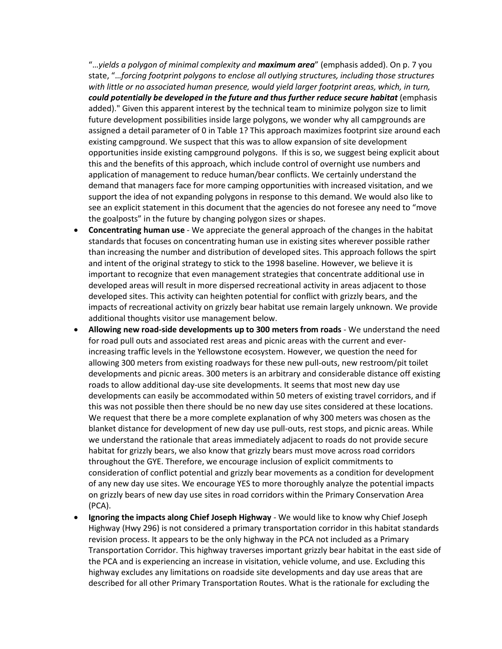"…*yields a polygon of minimal complexity and maximum area*" (emphasis added). On p. 7 you state, "…*forcing footprint polygons to enclose all outlying structures, including those structures*  with little or no associated human presence, would yield larger footprint areas, which, in turn, *could potentially be developed in the future and thus further reduce secure habitat* (emphasis added)." Given this apparent interest by the technical team to minimize polygon size to limit future development possibilities inside large polygons, we wonder why all campgrounds are assigned a detail parameter of 0 in Table 1? This approach maximizes footprint size around each existing campground. We suspect that this was to allow expansion of site development opportunities inside existing campground polygons. If this is so, we suggest being explicit about this and the benefits of this approach, which include control of overnight use numbers and application of management to reduce human/bear conflicts. We certainly understand the demand that managers face for more camping opportunities with increased visitation, and we support the idea of not expanding polygons in response to this demand. We would also like to see an explicit statement in this document that the agencies do not foresee any need to "move the goalposts" in the future by changing polygon sizes or shapes.

- **Concentrating human use** We appreciate the general approach of the changes in the habitat standards that focuses on concentrating human use in existing sites wherever possible rather than increasing the number and distribution of developed sites. This approach follows the spirt and intent of the original strategy to stick to the 1998 baseline. However, we believe it is important to recognize that even management strategies that concentrate additional use in developed areas will result in more dispersed recreational activity in areas adjacent to those developed sites. This activity can heighten potential for conflict with grizzly bears, and the impacts of recreational activity on grizzly bear habitat use remain largely unknown. We provide additional thoughts visitor use management below.
- **Allowing new road-side developments up to 300 meters from roads** We understand the need for road pull outs and associated rest areas and picnic areas with the current and everincreasing traffic levels in the Yellowstone ecosystem. However, we question the need for allowing 300 meters from existing roadways for these new pull-outs, new restroom/pit toilet developments and picnic areas. 300 meters is an arbitrary and considerable distance off existing roads to allow additional day-use site developments. It seems that most new day use developments can easily be accommodated within 50 meters of existing travel corridors, and if this was not possible then there should be no new day use sites considered at these locations. We request that there be a more complete explanation of why 300 meters was chosen as the blanket distance for development of new day use pull-outs, rest stops, and picnic areas. While we understand the rationale that areas immediately adjacent to roads do not provide secure habitat for grizzly bears, we also know that grizzly bears must move across road corridors throughout the GYE. Therefore, we encourage inclusion of explicit commitments to consideration of conflict potential and grizzly bear movements as a condition for development of any new day use sites. We encourage YES to more thoroughly analyze the potential impacts on grizzly bears of new day use sites in road corridors within the Primary Conservation Area (PCA).
- **Ignoring the impacts along Chief Joseph Highway** We would like to know why Chief Joseph Highway (Hwy 296) is not considered a primary transportation corridor in this habitat standards revision process. It appears to be the only highway in the PCA not included as a Primary Transportation Corridor. This highway traverses important grizzly bear habitat in the east side of the PCA and is experiencing an increase in visitation, vehicle volume, and use. Excluding this highway excludes any limitations on roadside site developments and day use areas that are described for all other Primary Transportation Routes. What is the rationale for excluding the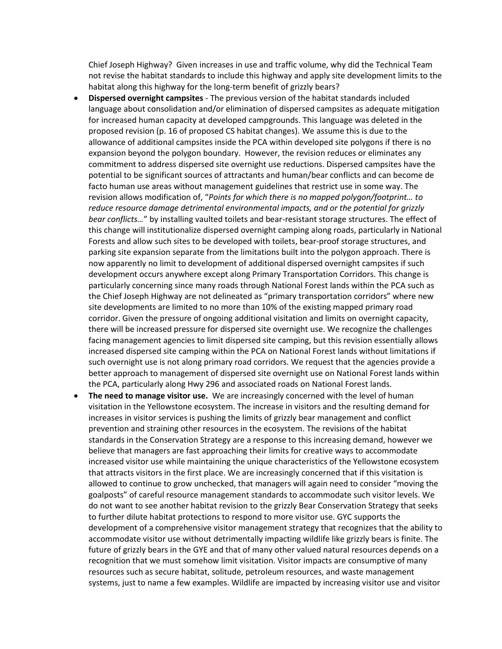Chief Joseph Highway? Given increases in use and traffic volume, why did the Technical Team not revise the habitat standards to include this highway and apply site development limits to the habitat along this highway for the long-term benefit of grizzly bears?

- **Dispersed overnight campsites** The previous version of the habitat standards included language about consolidation and/or elimination of dispersed campsites as adequate mitigation for increased human capacity at developed campgrounds. This language was deleted in the proposed revision (p. 16 of proposed CS habitat changes). We assume this is due to the allowance of additional campsites inside the PCA within developed site polygons if there is no expansion beyond the polygon boundary. However, the revision reduces or eliminates any commitment to address dispersed site overnight use reductions. Dispersed campsites have the potential to be significant sources of attractants and human/bear conflicts and can become de facto human use areas without management guidelines that restrict use in some way. The revision allows modification of, "*Points for which there is no mapped polygon/footprint… to reduce resource damage detrimental environmental impacts, and or the potential for grizzly bear conflicts…*" by installing vaulted toilets and bear-resistant storage structures. The effect of this change will institutionalize dispersed overnight camping along roads, particularly in National Forests and allow such sites to be developed with toilets, bear-proof storage structures, and parking site expansion separate from the limitations built into the polygon approach. There is now apparently no limit to development of additional dispersed overnight campsites if such development occurs anywhere except along Primary Transportation Corridors. This change is particularly concerning since many roads through National Forest lands within the PCA such as the Chief Joseph Highway are not delineated as "primary transportation corridors" where new site developments are limited to no more than 10% of the existing mapped primary road corridor. Given the pressure of ongoing additional visitation and limits on overnight capacity, there will be increased pressure for dispersed site overnight use. We recognize the challenges facing management agencies to limit dispersed site camping, but this revision essentially allows increased dispersed site camping within the PCA on National Forest lands without limitations if such overnight use is not along primary road corridors. We request that the agencies provide a better approach to management of dispersed site overnight use on National Forest lands within the PCA, particularly along Hwy 296 and associated roads on National Forest lands.
- **The need to manage visitor use.** We are increasingly concerned with the level of human visitation in the Yellowstone ecosystem. The increase in visitors and the resulting demand for increases in visitor services is pushing the limits of grizzly bear management and conflict prevention and straining other resources in the ecosystem. The revisions of the habitat standards in the Conservation Strategy are a response to this increasing demand, however we believe that managers are fast approaching their limits for creative ways to accommodate increased visitor use while maintaining the unique characteristics of the Yellowstone ecosystem that attracts visitors in the first place. We are increasingly concerned that if this visitation is allowed to continue to grow unchecked, that managers will again need to consider "moving the goalposts" of careful resource management standards to accommodate such visitor levels. We do not want to see another habitat revision to the grizzly Bear Conservation Strategy that seeks to further dilute habitat protections to respond to more visitor use. GYC supports the development of a comprehensive visitor management strategy that recognizes that the ability to accommodate visitor use without detrimentally impacting wildlife like grizzly bears is finite. The future of grizzly bears in the GYE and that of many other valued natural resources depends on a recognition that we must somehow limit visitation. Visitor impacts are consumptive of many resources such as secure habitat, solitude, petroleum resources, and waste management systems, just to name a few examples. Wildlife are impacted by increasing visitor use and visitor